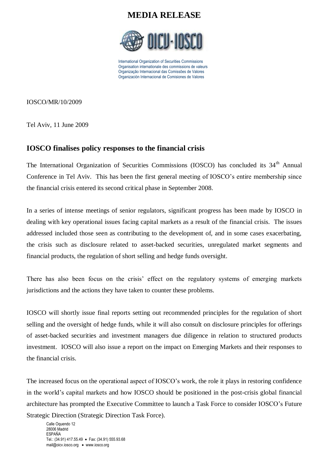

International Organization of Securities Commissions Organisation internationale des commissions de valeurs Organização Internacional das Comissões de Valores Organización Internacional de Comisiones de Valores

IOSCO/MR/10/2009

Tel Aviv, 11 June 2009

#### **IOSCO finalises policy responses to the financial crisis**

The International Organization of Securities Commissions (IOSCO) has concluded its 34<sup>th</sup> Annual Conference in Tel Aviv. This has been the first general meeting of IOSCO's entire membership since the financial crisis entered its second critical phase in September 2008.

In a series of intense meetings of senior regulators, significant progress has been made by IOSCO in dealing with key operational issues facing capital markets as a result of the financial crisis. The issues addressed included those seen as contributing to the development of, and in some cases exacerbating, the crisis such as disclosure related to asset-backed securities, unregulated market segments and financial products, the regulation of short selling and hedge funds oversight.

There has also been focus on the crisis' effect on the regulatory systems of emerging markets jurisdictions and the actions they have taken to counter these problems.

IOSCO will shortly issue final reports setting out recommended principles for the regulation of short selling and the oversight of hedge funds, while it will also consult on disclosure principles for offerings of asset-backed securities and investment managers due diligence in relation to structured products investment. IOSCO will also issue a report on the impact on Emerging Markets and their responses to the financial crisis.

The increased focus on the operational aspect of IOSCO's work, the role it plays in restoring confidence in the world's capital markets and how IOSCO should be positioned in the post-crisis global financial architecture has prompted the Executive Committee to launch a Task Force to consider IOSCO's Future Strategic Direction (Strategic Direction Task Force).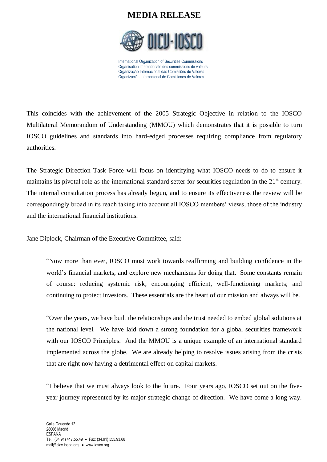

International Organization of Securities Commissions Organisation internationale des commissions de valeurs Organização Internacional das Comissões de Valores Organización Internacional de Comisiones de Valores

This coincides with the achievement of the 2005 Strategic Objective in relation to the IOSCO Multilateral Memorandum of Understanding (MMOU) which demonstrates that it is possible to turn IOSCO guidelines and standards into hard-edged processes requiring compliance from regulatory authorities.

The Strategic Direction Task Force will focus on identifying what IOSCO needs to do to ensure it maintains its pivotal role as the international standard setter for securities regulation in the 21<sup>st</sup> century. The internal consultation process has already begun, and to ensure its effectiveness the review will be correspondingly broad in its reach taking into account all IOSCO members' views, those of the industry and the international financial institutions.

Jane Diplock, Chairman of the Executive Committee, said:

"Now more than ever, IOSCO must work towards reaffirming and building confidence in the world's financial markets, and explore new mechanisms for doing that. Some constants remain of course: reducing systemic risk; encouraging efficient, well-functioning markets; and continuing to protect investors. These essentials are the heart of our mission and always will be.

"Over the years, we have built the relationships and the trust needed to embed global solutions at the national level. We have laid down a strong foundation for a global securities framework with our IOSCO Principles. And the MMOU is a unique example of an international standard implemented across the globe. We are already helping to resolve issues arising from the crisis that are right now having a detrimental effect on capital markets.

"I believe that we must always look to the future. Four years ago, IOSCO set out on the fiveyear journey represented by its major strategic change of direction. We have come a long way.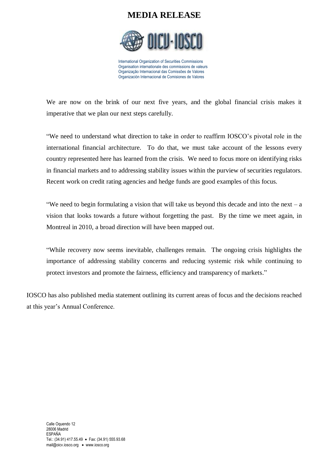

International Organization of Securities Commissions Organisation internationale des commissions de valeurs Organização Internacional das Comissões de Valores Organización Internacional de Comisiones de Valores

We are now on the brink of our next five years, and the global financial crisis makes it imperative that we plan our next steps carefully.

"We need to understand what direction to take in order to reaffirm IOSCO's pivotal role in the international financial architecture. To do that, we must take account of the lessons every country represented here has learned from the crisis. We need to focus more on identifying risks in financial markets and to addressing stability issues within the purview of securities regulators. Recent work on credit rating agencies and hedge funds are good examples of this focus.

"We need to begin formulating a vision that will take us beyond this decade and into the next – a vision that looks towards a future without forgetting the past. By the time we meet again, in Montreal in 2010, a broad direction will have been mapped out.

"While recovery now seems inevitable, challenges remain. The ongoing crisis highlights the importance of addressing stability concerns and reducing systemic risk while continuing to protect investors and promote the fairness, efficiency and transparency of markets."

IOSCO has also published media statement outlining its current areas of focus and the decisions reached at this year's Annual Conference.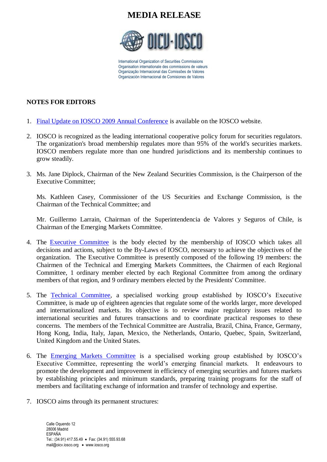

International Organization of Securities Commissions Organisation internationale des commissions de valeurs Organização Internacional das Comissões de Valores Organización Internacional de Comisiones de Valores

#### **NOTES FOR EDITORS**

- 1. [Final Update on IOSCO 2009 Annual Conference](http://www.iosco.org/library/statements/pdf/statements-6.pdf) is available on the IOSCO website.
- 2. IOSCO is recognized as the leading international cooperative policy forum for securities regulators. The organization's broad membership regulates more than 95% of the world's securities markets. IOSCO members regulate more than one hundred jurisdictions and its membership continues to grow steadily.
- 3. Ms. Jane Diplock, Chairman of the New Zealand Securities Commission, is the Chairperson of the Executive Committee;

Ms. Kathleen Casey, Commissioner of the US Securities and Exchange Commission, is the Chairman of the Technical Committee; and

Mr. Guillermo Larrain, Chairman of the Superintendencia de Valores y Seguros of Chile, is Chairman of the Emerging Markets Committee.

- 4. The [Executive Committee](http://www.iosco.org/lists/display_committees.cfm?cmtid=5) is the body elected by the membership of IOSCO which takes all decisions and actions, subject to the By-Laws of IOSCO, necessary to achieve the objectives of the organization. The [Executive Committee](http://www.iosco.org/lists/display_committees.cfm?cmtid=5) is presently composed of the following 19 members: the Chairmen of the [Technical](http://www.iosco.org/lists/display_committees.cfm?cmtid=3) and [Emerging Markets Committees,](http://www.iosco.org/lists/display_committees.cfm?cmtid=8) the Chairmen of each Regional Committee, 1 ordinary member elected by each Regional Committee from among the ordinary members of that region, and 9 ordinary members elected by the [Presidents' Committee.](http://www.iosco.org/lists/display_committees.cfm?cmtid=1)
- 5. The [Technical Committee,](http://www.iosco.org/lists/display_committees.cfm?cmtid=3) a specialised working group established by IOSCO's Executive Committee, is made up of eighteen agencies that regulate some of the worlds larger, more developed and internationalized markets. Its objective is to review major regulatory issues related to international securities and futures transactions and to coordinate practical responses to these concerns. The members of the Technical Committee are Australia, Brazil, China, France, Germany, Hong Kong, India, Italy, Japan, Mexico, the Netherlands, Ontario, Quebec, Spain, Switzerland, United Kingdom and the United States.
- 6. The [Emerging Markets Committee](http://iosco.org/lists/display_committees.cfm?cmtid=8) is a specialised working group established by IOSCO's Executive Committee, representing the world's emerging financial markets. It endeavours to promote the development and improvement in efficiency of emerging securities and futures markets by establishing principles and minimum standards, preparing training programs for the staff of members and facilitating exchange of information and transfer of technology and expertise.
- 7. IOSCO aims through its permanent structures: